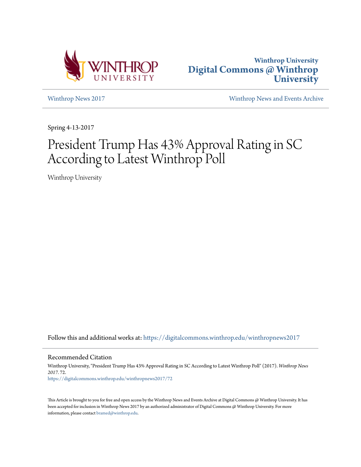



[Winthrop News 2017](https://digitalcommons.winthrop.edu/winthropnews2017?utm_source=digitalcommons.winthrop.edu%2Fwinthropnews2017%2F72&utm_medium=PDF&utm_campaign=PDFCoverPages) [Winthrop News and Events Archive](https://digitalcommons.winthrop.edu/winthropnewsarchives?utm_source=digitalcommons.winthrop.edu%2Fwinthropnews2017%2F72&utm_medium=PDF&utm_campaign=PDFCoverPages)

Spring 4-13-2017

# President Trump Has 43% Approval Rating in SC According to Latest Winthrop Poll

Winthrop University

Follow this and additional works at: [https://digitalcommons.winthrop.edu/winthropnews2017](https://digitalcommons.winthrop.edu/winthropnews2017?utm_source=digitalcommons.winthrop.edu%2Fwinthropnews2017%2F72&utm_medium=PDF&utm_campaign=PDFCoverPages)

Recommended Citation

Winthrop University, "President Trump Has 43% Approval Rating in SC According to Latest Winthrop Poll" (2017). *Winthrop News 2017*. 72. [https://digitalcommons.winthrop.edu/winthropnews2017/72](https://digitalcommons.winthrop.edu/winthropnews2017/72?utm_source=digitalcommons.winthrop.edu%2Fwinthropnews2017%2F72&utm_medium=PDF&utm_campaign=PDFCoverPages)

This Article is brought to you for free and open access by the Winthrop News and Events Archive at Digital Commons @ Winthrop University. It has been accepted for inclusion in Winthrop News 2017 by an authorized administrator of Digital Commons @ Winthrop University. For more information, please contact [bramed@winthrop.edu](mailto:bramed@winthrop.edu).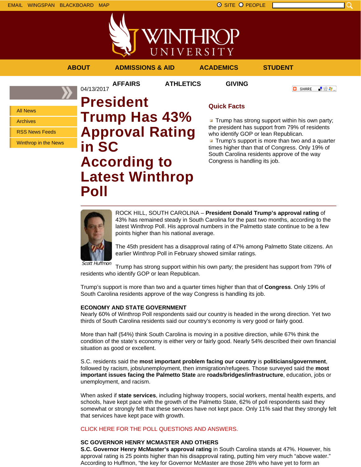



### **ABOUT ADMISSIONS & AID ACADEMICS STUDENT**

04/13/2017

**AFFAIRS ATHLETICS GIVING**

上帝身上

**C** SHARE

All News

Archives

RSS News Feeds

Winthrop in the News

**President Trump Has 43% Approval Rating in SC According to Latest Winthrop Poll**

## **Quick Facts**

**Trump has strong support within his own party;** the president has support from 79% of residents who identify GOP or lean Republican.

**Trump's support is more than two and a quarter** times higher than that of Congress. Only 19% of South Carolina residents approve of the way Congress is handling its job.



ROCK HILL, SOUTH CAROLINA – **President Donald Trump's approval rating** of 43% has remained steady in South Carolina for the past two months, according to the latest Winthrop Poll. His approval numbers in the Palmetto state continue to be a few points higher than his national average.

The 45th president has a disapproval rating of 47% among Palmetto State citizens. An earlier Winthrop Poll in February showed similar ratings.

Scott Huffmon

Trump has strong support within his own party; the president has support from 79% of residents who identify GOP or lean Republican.

Trump's support is more than two and a quarter times higher than that of **Congress**. Only 19% of South Carolina residents approve of the way Congress is handling its job.

#### **ECONOMY AND STATE GOVERNMENT**

Nearly 60% of Winthrop Poll respondents said our country is headed in the wrong direction. Yet two thirds of South Carolina residents said our country's economy is very good or fairly good.

More than half (54%) think South Carolina is moving in a positive direction, while 67% think the condition of the state's economy is either very or fairly good. Nearly 54% described their own financial situation as good or excellent.

S.C. residents said the **most important problem facing our country** is **politicians/government**, followed by racism, jobs/unemployment, then immigration/refugees. Those surveyed said the **most important issues facing the Palmetto State** are **roads/bridges/infrastructure**, education, jobs or unemployment, and racism.

When asked if **state services**, including highway troopers, social workers, mental health experts, and schools, have kept pace with the growth of the Palmetto State, 62% of poll respondents said they somewhat or strongly felt that these services have not kept pace. Only 11% said that they strongly felt that services have kept pace with growth.

#### CLICK HERE FOR THE POLL QUESTIONS AND ANSWERS.

#### **SC GOVERNOR HENRY MCMASTER AND OTHERS**

**S.C. Governor Henry McMaster's approval rating** in South Carolina stands at 47%. However, his approval rating is 25 points higher than his disapproval rating, putting him very much "above water." According to Huffmon, "the key for Governor McMaster are those 28% who have yet to form an